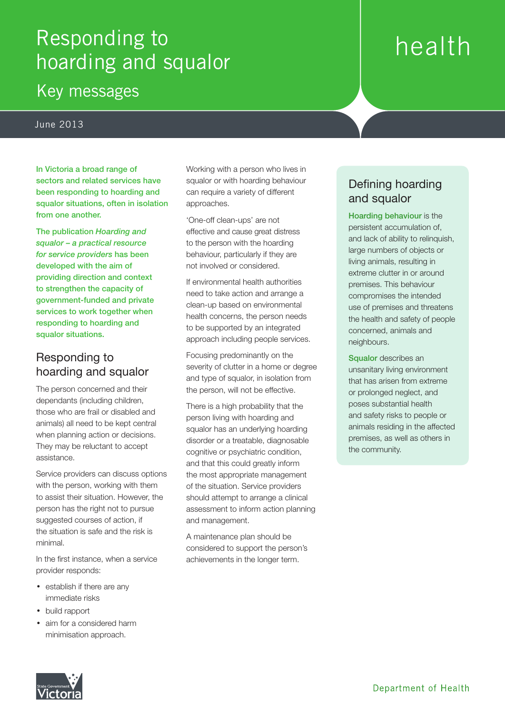# Responding to hoarding and squalor

## Key messages

#### June 2013

In Victoria a broad range of sectors and related services have been responding to hoarding and squalor situations, often in isolation from one another.

The publication *Hoarding and squalor – a practical resource for service providers* has been developed with the aim of providing direction and context to strengthen the capacity of government-funded and private services to work together when responding to hoarding and squalor situations.

#### Responding to hoarding and squalor

The person concerned and their dependants (including children, those who are frail or disabled and animals) all need to be kept central when planning action or decisions. They may be reluctant to accept assistance.

Service providers can discuss options with the person, working with them to assist their situation. However, the person has the right not to pursue suggested courses of action, if the situation is safe and the risk is minimal.

In the first instance, when a service provider responds:

- establish if there are any immediate risks
- build rapport
- aim for a considered harm minimisation approach.

Working with a person who lives in squalor or with hoarding behaviour can require a variety of different approaches.

'One-off clean-ups' are not effective and cause great distress to the person with the hoarding behaviour, particularly if they are not involved or considered.

If environmental health authorities need to take action and arrange a clean-up based on environmental health concerns, the person needs to be supported by an integrated approach including people services.

Focusing predominantly on the severity of clutter in a home or degree and type of squalor, in isolation from the person, will not be effective.

There is a high probability that the person living with hoarding and squalor has an underlying hoarding disorder or a treatable, diagnosable cognitive or psychiatric condition, and that this could greatly inform the most appropriate management of the situation. Service providers should attempt to arrange a clinical assessment to inform action planning and management.

A maintenance plan should be considered to support the person's achievements in the longer term.

### Defining hoarding and squalor

health

Hoarding behaviour is the persistent accumulation of, and lack of ability to relinquish, large numbers of objects or living animals, resulting in extreme clutter in or around premises. This behaviour compromises the intended use of premises and threatens the health and safety of people concerned, animals and neighbours.

Squalor describes an unsanitary living environment that has arisen from extreme or prolonged neglect, and poses substantial health and safety risks to people or animals residing in the affected premises, as well as others in the community.

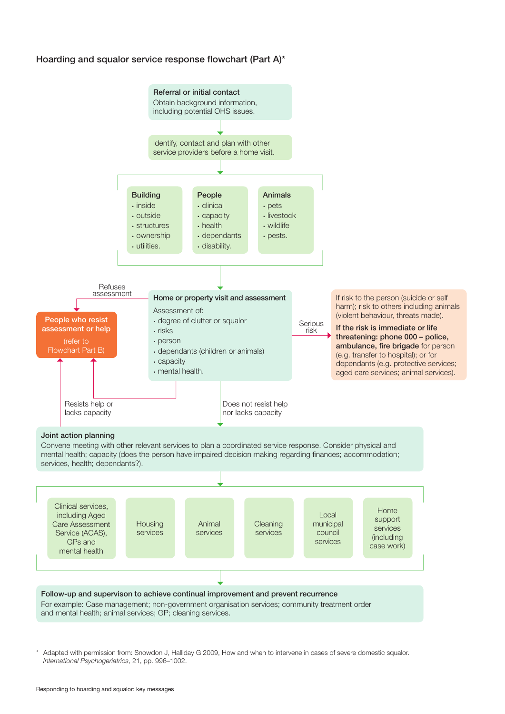#### Hoarding and squalor service response flowchart (Part A)\*



Adapted with permission from: Snowdon J, Halliday G 2009, How and when to intervene in cases of severe domestic squalor. *International Psychogeriatrics*, 21, pp. 996–1002.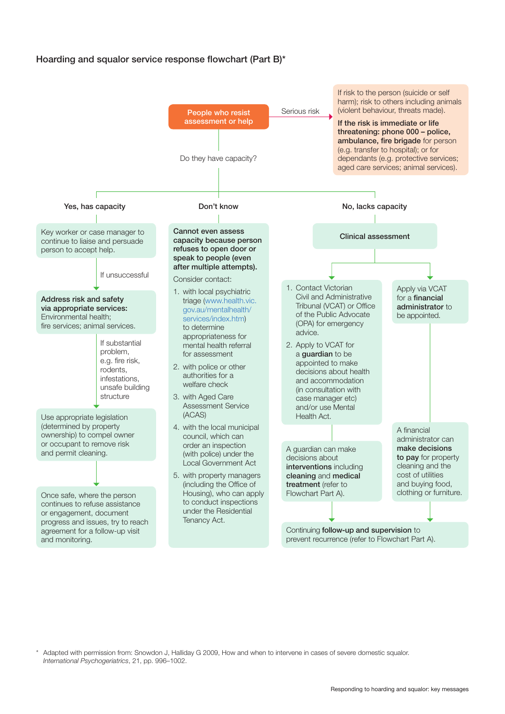#### Hoarding and squalor service response flowchart (Part B)\*



Adapted with permission from: Snowdon J, Halliday G 2009, How and when to intervene in cases of severe domestic squalor. *International Psychogeriatrics*, 21, pp. 996–1002.